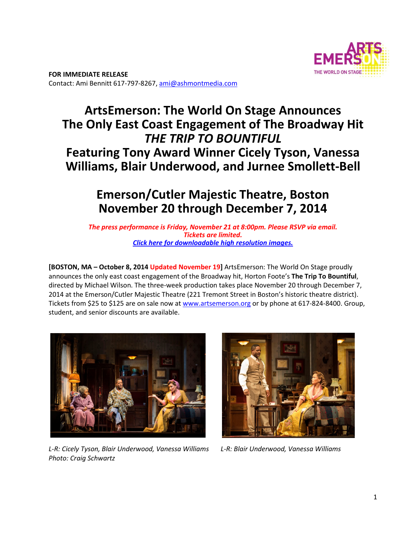

# **ArtsEmerson: The World On Stage Announces The Only East Coast Engagement of The Broadway Hit**  *THE TRIP TO BOUNTIFUL* **Featuring Tony Award Winner Cicely Tyson, Vanessa Williams, Blair Underwood, and Jurnee Smollett-Bell**

# **Emerson/Cutler Majestic Theatre, Boston November 20 through December 7, 2014**

*The press performance is Friday, November 21 at 8:00pm. Please RSVP via email. Tickets are limited. Click here for downloadable high resolution images.*

**[BOSTON, MA – October 8, 2014 Updated November 19]** ArtsEmerson: The World On Stage proudly announces the only east coast engagement of the Broadway hit, Horton Foote's **The Trip To Bountiful**, directed by Michael Wilson. The three‐week production takes place November 20 through December 7, 2014 at the Emerson/Cutler Majestic Theatre (221 Tremont Street in Boston's historic theatre district). Tickets from \$25 to \$125 are on sale now at www.artsemerson.org or by phone at 617-824-8400. Group, student, and senior discounts are available.



*L-R: Cicely Tyson, Blair Underwood, Vanessa Williams L-R: Blair Underwood, Vanessa Williams Photo: Craig Schwartz* 

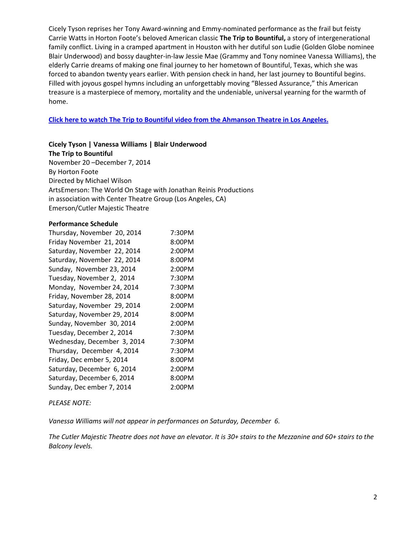Cicely Tyson reprises her Tony Award‐winning and Emmy‐nominated performance as the frail but feisty Carrie Watts in Horton Foote's beloved American classic **The Trip to Bountiful,** a story of intergenerational family conflict. Living in a cramped apartment in Houston with her dutiful son Ludie (Golden Globe nominee Blair Underwood) and bossy daughter‐in‐law Jessie Mae (Grammy and Tony nominee Vanessa Williams), the elderly Carrie dreams of making one final journey to her hometown of Bountiful, Texas, which she was forced to abandon twenty years earlier. With pension check in hand, her last journey to Bountiful begins. Filled with joyous gospel hymns including an unforgettably moving "Blessed Assurance," this American treasure is a masterpiece of memory, mortality and the undeniable, universal yearning for the warmth of home.

**Click here to watch The Trip to Bountiful video from the Ahmanson Theatre in Los Angeles.**

#### **Cicely Tyson | Vanessa Williams | Blair Underwood**

**The Trip to Bountiful** 

November 20 –December 7, 2014 By Horton Foote Directed by Michael Wilson ArtsEmerson: The World On Stage with Jonathan Reinis Productions in association with Center Theatre Group (Los Angeles, CA) Emerson/Cutler Majestic Theatre

#### **Performance Schedule**

| Thursday, November 20, 2014 | 7:30PM |
|-----------------------------|--------|
| Friday November 21, 2014    | 8:00PM |
| Saturday, November 22, 2014 | 2:00PM |
| Saturday, November 22, 2014 | 8:00PM |
| Sunday, November 23, 2014   | 2:00PM |
| Tuesday, November 2, 2014   | 7:30PM |
| Monday, November 24, 2014   | 7:30PM |
| Friday, November 28, 2014   | 8:00PM |
| Saturday, November 29, 2014 | 2:00PM |
| Saturday, November 29, 2014 | 8:00PM |
| Sunday, November 30, 2014   | 2:00PM |
| Tuesday, December 2, 2014   | 7:30PM |
| Wednesday, December 3, 2014 | 7:30PM |
| Thursday, December 4, 2014  | 7:30PM |
| Friday, Dec ember 5, 2014   | 8:00PM |
| Saturday, December 6, 2014  | 2:00PM |
| Saturday, December 6, 2014  | 8:00PM |
| Sunday, Dec ember 7, 2014   | 2:00PM |

#### *PLEASE NOTE:*

*Vanessa Williams will not appear in performances on Saturday, December 6.* 

*The Cutler Majestic Theatre does not have an elevator. It is 30+ stairs to the Mezzanine and 60+ stairs to the Balcony levels.*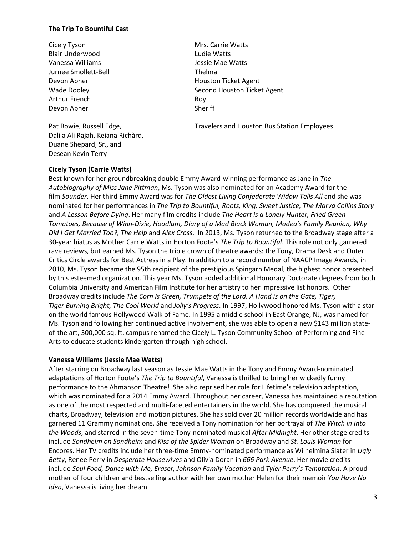#### **The Trip To Bountiful Cast**

Cicely Tyson **Mrs. Carrie Watts** Blair Underwood **Ludie Watts** Vanessa Williams Jessie Mae Watts Jurnee Smollett-Bell Thelma Arthur French Roy Devon Abner Sheriff

Dalila Ali Rajah, Keiana Richàrd, Duane Shepard, Sr., and Desean Kevin Terry

Devon Abner Noussealth Houston Ticket Agent Wade Dooley **Second Houston Ticket Agent** Second Houston Ticket Agent

Pat Bowie, Russell Edge, The Mateus Christeners and Houston Bus Station Employees

#### **Cicely Tyson (Carrie Watts)**

Best known for her groundbreaking double Emmy Award‐winning performance as Jane in *The Autobiography of Miss Jane Pittman*, Ms. Tyson was also nominated for an Academy Award for the film *Sounder*. Her third Emmy Award was for *The Oldest Living Confederate Widow Tells All* and she was nominated for her performances in *The Trip to Bountiful, Roots, King, Sweet Justice, The Marva Collins Story*  and *A Lesson Before Dying*. Her many film credits include *The Heart is a Lonely Hunter, Fried Green Tomatoes, Because of Winn-Dixie, Hoodlum, Diary of a Mad Black Woman, Madea's Family Reunion, Why Did I Get Married Too?, The Help* and *Alex Cross*. In 2013, Ms. Tyson returned to the Broadway stage after a 30‐year hiatus as Mother Carrie Watts in Horton Foote's *The Trip to Bountiful*. This role not only garnered rave reviews, but earned Ms. Tyson the triple crown of theatre awards: the Tony, Drama Desk and Outer Critics Circle awards for Best Actress in a Play. In addition to a record number of NAACP Image Awards, in 2010, Ms. Tyson became the 95th recipient of the prestigious Spingarn Medal, the highest honor presented by this esteemed organization. This year Ms. Tyson added additional Honorary Doctorate degrees from both Columbia University and American Film Institute for her artistry to her impressive list honors. Other Broadway credits include *The Corn Is Green, Trumpets of the Lord, A Hand is on the Gate, Tiger, Tiger Burning Bright, The Cool World* and *Jolly's Progress*. In 1997, Hollywood honored Ms. Tyson with a star on the world famous Hollywood Walk of Fame. In 1995 a middle school in East Orange, NJ, was named for Ms. Tyson and following her continued active involvement, she was able to open a new \$143 million state‐ of-the art, 300,000 sq. ft. campus renamed the Cicely L. Tyson Community School of Performing and Fine Arts to educate students kindergarten through high school.

#### **Vanessa Williams (Jessie Mae Watts)**

After starring on Broadway last season as Jessie Mae Watts in the Tony and Emmy Award‐nominated adaptations of Horton Foote's *The Trip to Bountiful*, Vanessa is thrilled to bring her wickedly funny performance to the Ahmanson Theatre! She also reprised her role for Lifetime's television adaptation, which was nominated for a 2014 Emmy Award. Throughout her career, Vanessa has maintained a reputation as one of the most respected and multi‐faceted entertainers in the world. She has conquered the musical charts, Broadway, television and motion pictures. She has sold over 20 million records worldwide and has garnered 11 Grammy nominations. She received a Tony nomination for her portrayal of *The Witch in Into the Woods*, and starred in the seven‐time Tony‐nominated musical *After Midnight*. Her other stage credits include *Sondheim on Sondheim* and *Kiss of the Spider Woman* on Broadway and *St. Louis Woman* for Encores. Her TV credits include her three‐time Emmy‐nominated performance as Wilhelmina Slater in *Ugly Betty*, Renee Perry in *Desperate Housewives* and Olivia Doran in *666 Park Avenue*. Her movie credits include *Soul Food, Dance with Me, Eraser, Johnson Family Vacation* and *Tyler Perry's Temptation*. A proud mother of four children and bestselling author with her own mother Helen for their memoir *You Have No Idea*, Vanessa is living her dream.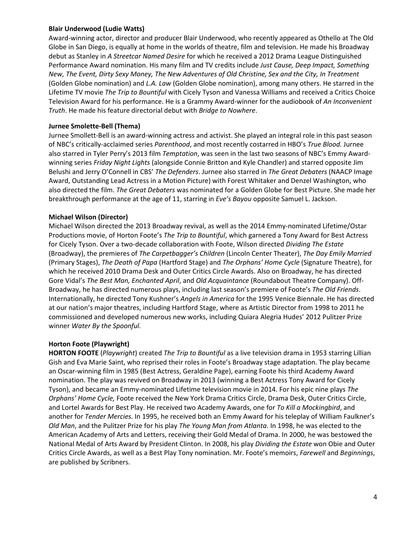#### **Blair Underwood (Ludie Watts)**

Award‐winning actor, director and producer Blair Underwood, who recently appeared as Othello at The Old Globe in San Diego, is equally at home in the worlds of theatre, film and television. He made his Broadway debut as Stanley in *A Streetcar Named Desire* for which he received a 2012 Drama League Distinguished Performance Award nomination. His many film and TV credits include *Just Cause, Deep Impact, Something New, The Event, Dirty Sexy Money, The New Adventures of Old Christine, Sex and the City, In Treatment*  (Golden Globe nomination) and *L.A. Law* (Golden Globe nomination), among many others. He starred in the Lifetime TV movie *The Trip to Bountiful* with Cicely Tyson and Vanessa Williams and received a Critics Choice Television Award for his performance. He is a Grammy Award‐winner for the audiobook of *An Inconvenient Truth*. He made his feature directorial debut with *Bridge to Nowhere*.

### **Jurnee Smolette-Bell (Thema)**

Jurnee Smollett‐Bell is an award‐winning actress and activist. She played an integral role in this past season of NBC's critically‐acclaimed series *Parenthood*, and most recently costarred in HBO's *True Blood.* Jurnee also starred in Tyler Perry's 2013 film *Temptation*, was seen in the last two seasons of NBC's Emmy Award‐ winning series *Friday Night Lights* (alongside Connie Britton and Kyle Chandler) and starred opposite Jim Belushi and Jerry O'Connell in CBS' *The Defenders*. Jurnee also starred in *The Great Debaters* (NAACP Image Award, Outstanding Lead Actress in a Motion Picture) with Forest Whitaker and Denzel Washington, who also directed the film. *The Great Debaters* was nominated for a Golden Globe for Best Picture. She made her breakthrough performance at the age of 11, starring in *Eve's Bayou* opposite Samuel L. Jackson.

### **Michael Wilson (Director)**

Michael Wilson directed the 2013 Broadway revival, as well as the 2014 Emmy‐nominated Lifetime/Ostar Productions movie, of Horton Foote's *The Trip to Bountiful*, which garnered a Tony Award for Best Actress for Cicely Tyson. Over a two‐decade collaboration with Foote, Wilson directed *Dividing The Estate*  (Broadway), the premieres of *The Carpetbagger's Children* (Lincoln Center Theater), *The Day Emily Married*  (Primary Stages), *The Death of Papa* (Hartford Stage) and *The Orphans' Home Cycle* (Signature Theatre), for which he received 2010 Drama Desk and Outer Critics Circle Awards. Also on Broadway, he has directed Gore Vidal's *The Best Man, Enchanted April*, and *Old Acquaintance* (Roundabout Theatre Company). Off‐ Broadway, he has directed numerous plays, including last season's premiere of Foote's *The Old Friends*. Internationally, he directed Tony Kushner's *Angels in America* for the 1995 Venice Biennale. He has directed at our nation's major theatres, including Hartford Stage, where as Artistic Director from 1998 to 2011 he commissioned and developed numerous new works, including Quiara Alegria Hudes' 2012 Pulitzer Prize winner *Water By the Spoonful.*

# **Horton Foote (Playwright)**

**HORTON FOOTE** (*Playwright*) created *The Trip to Bountiful* as a live television drama in 1953 starring Lillian Gish and Eva Marie Saint, who reprised their roles in Foote's Broadway stage adaptation. The play became an Oscar‐winning film in 1985 (Best Actress, Geraldine Page), earning Foote his third Academy Award nomination. The play was revived on Broadway in 2013 (winning a Best Actress Tony Award for Cicely Tyson), and became an Emmy‐nominated Lifetime television movie in 2014. For his epic nine plays *The Orphans' Home Cycle,* Foote received the New York Drama Critics Circle, Drama Desk, Outer Critics Circle, and Lortel Awards for Best Play. He received two Academy Awards, one for *To Kill a Mockingbird*, and another for *Tender Mercies*. In 1995, he received both an Emmy Award for his teleplay of William Faulkner's *Old Man*, and the Pulitzer Prize for his play *The Young Man from Atlanta*. In 1998, he was elected to the American Academy of Arts and Letters, receiving their Gold Medal of Drama. In 2000, he was bestowed the National Medal of Arts Award by President Clinton. In 2008, his play *Dividing the Estate* won Obie and Outer Critics Circle Awards, as well as a Best Play Tony nomination. Mr. Foote's memoirs, *Farewell* and *Beginnings*, are published by Scribners.